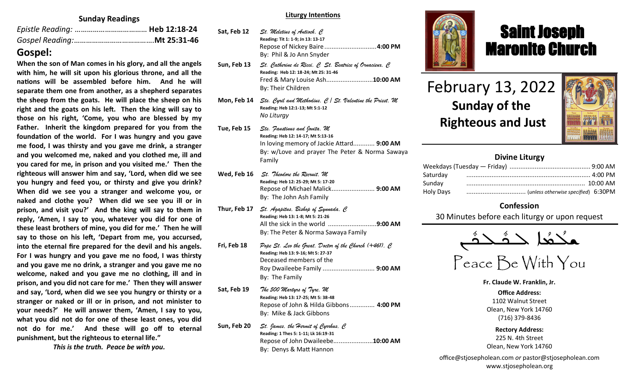## **Sunday Readings**

## **Gospel:**

**When the son of Man comes in his glory, and all the angels with him, he will sit upon his glorious throne, and all the nations will be assembled before him. And he will separate them one from another, as a shepherd separates the sheep from the goats. He will place the sheep on his right and the goats on his left. Then the king will say to those on his right, 'Come, you who are blessed by my Father. Inherit the kingdom prepared for you from the foundation of the world. For I was hungry and you gave me food, I was thirsty and you gave me drink, a stranger and you welcomed me, naked and you clothed me, ill and you cared for me, in prison and you visited me.' Then the righteous will answer him and say, 'Lord, when did we see you hungry and feed you, or thirsty and give you drink? When did we see you a stranger and welcome you, or naked and clothe you? When did we see you ill or in prison, and visit you?' And the king will say to them in reply, 'Amen, I say to you, whatever you did for one of these least brothers of mine, you did for me.' Then he will say to those on his left, 'Depart from me, you accursed, into the eternal fire prepared for the devil and his angels. For I was hungry and you gave me no food, I was thirsty and you gave me no drink, a stranger and you gave me no welcome, naked and you gave me no clothing, ill and in prison, and you did not care for me.' Then they will answer and say, 'Lord, when did we see you hungry or thirsty or a stranger or naked or ill or in prison, and not minister to your needs?' He will answer them, 'Amen, I say to you, what you did not do for one of these least ones, you did not do for me.' And these will go off to eternal punishment, but the righteous to eternal life."**

*This is the truth. Peace be with you.*

#### **Liturgy Intentions**

| Sat, Feb 12  | St. Meletius of Antioch, C<br>Reading: Tit 1: 1-9; Jn 13: 13-17<br>Repose of Nickey Baire 4:00 PM<br>By: Phil & Jo Ann Snyder                                                 |
|--------------|-------------------------------------------------------------------------------------------------------------------------------------------------------------------------------|
| Sun, Feb 13  | St. Catherine de Ricci, $C$ St. Beatrice of Ornacieux, $C$<br>Reading: Heb 12: 18-24; Mt 25: 31-46<br>Fred & Mary Louise Ash10:00 AM<br>By: Their Children                    |
| Mon, Feb 14  | Sts. Cyril and Methodius, $C \mid St.$ Valentine the Priest, M<br>Reading: Heb 12:1-13; Mt 5:1-12<br>No Liturgy                                                               |
| Tue, Feb 15  | Sts. Faustinus and Jovita, M<br>Reading: Heb 12: 14-17; Mt 5:13-16<br>In loving memory of Jackie Attard 9:00 AM<br>By: w/Love and prayer The Peter & Norma Sawaya<br>Family   |
| Wed, Feb 16  | St. Theodore the Recruit, M<br>Reading: Heb 12: 25-29; Mt 5: 17-20<br>Repose of Michael Malick 9:00 AM<br>By: The John Ash Family                                             |
| Thur, Feb 17 | St. Agapitus, Bishop of Synnada, C<br>Reading: Heb 13: 1-8; Mt 5: 21-26<br>All the sick in the world 9:00 AM<br>By: The Peter & Norma Sawaya Family                           |
| Fri, Feb 18  | Pope St. Leo the Great, Doctor of the Church $(+461)$ , C<br>Reading: Heb 13: 9-16; Mt 5: 27-37<br>Deceased members of the<br>Roy Dwaileebe Family  9:00 AM<br>By: The Family |
| Sat, Feb 19  | The 500 Martyrs of Tyre, M<br>Reading: Heb 13: 17-25; Mt 5: 38-48<br>Repose of John & Hilda Gibbons 4:00 PM<br>By: Mike & Jack Gibbons                                        |
| Sun, Feb 20  | St. James, the Hermit of Cyrrhus, C<br>Reading: 1 Thes 5: 1-11; Lk 16:19-31<br>Repose of John Dwaileebe10:00 AM<br>By: Denys & Matt Hannon                                    |



## Saint Joseph Maronite Church

# February 13, 2022 **Sunday of the Righteous and Just**

ī



## **Divine Liturgy**

| Saturday  |  |
|-----------|--|
| Sunday    |  |
| Holy Days |  |

## **Confession**

30 Minutes before each liturgy or upon request

ـܢ  $\frac{1}{2}$ ـدهٔ<br>ــدهٔ  $\frac{1}{2}$ مكْتُعا حَدَّ —<br>ص  $\frac{1}{\sqrt{2}}$ 

# Peace Be With You

**Fr. Claude W. Franklin, Jr.**

**Office Address:** 1102 Walnut Street Olean, New York 14760 (716) 379-8436

**Rectory Address:** 225 N. 4th Street Olean, New York 14760

office@stjosepholean.com *or* pastor@stjosepholean.com www.stjosepholean.org